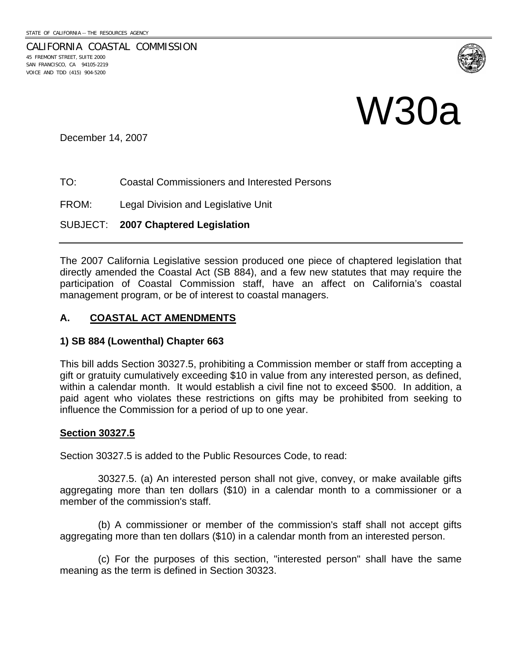CALIFORNIA COASTAL COMMISSION 45 FREMONT STREET, SUITE 2000 SAN FRANCISCO, CA 94105-2219 VOICE AND TDD (415) 904-5200



# W30a

December 14, 2007

TO: Coastal Commissioners and Interested Persons

FROM: Legal Division and Legislative Unit

SUBJECT: **2007 Chaptered Legislation**

The 2007 California Legislative session produced one piece of chaptered legislation that directly amended the Coastal Act (SB 884), and a few new statutes that may require the participation of Coastal Commission staff, have an affect on California's coastal management program, or be of interest to coastal managers.

## **A. COASTAL ACT AMENDMENTS**

### **1) SB 884 (Lowenthal) Chapter 663**

This bill adds Section 30327.5, prohibiting a Commission member or staff from accepting a gift or gratuity cumulatively exceeding \$10 in value from any interested person, as defined, within a calendar month. It would establish a civil fine not to exceed \$500. In addition, a paid agent who violates these restrictions on gifts may be prohibited from seeking to influence the Commission for a period of up to one year.

### **Section 30327.5**

Section 30327.5 is added to the Public Resources Code, to read:

 30327.5. (a) An interested person shall not give, convey, or make available gifts aggregating more than ten dollars (\$10) in a calendar month to a commissioner or a member of the commission's staff.

 (b) A commissioner or member of the commission's staff shall not accept gifts aggregating more than ten dollars (\$10) in a calendar month from an interested person.

 (c) For the purposes of this section, "interested person" shall have the same meaning as the term is defined in Section 30323.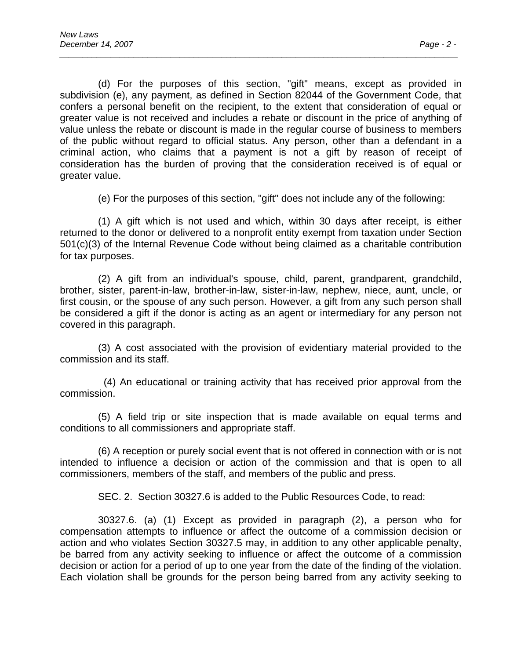(d) For the purposes of this section, "gift" means, except as provided in subdivision (e), any payment, as defined in Section 82044 of the Government Code, that confers a personal benefit on the recipient, to the extent that consideration of equal or greater value is not received and includes a rebate or discount in the price of anything of value unless the rebate or discount is made in the regular course of business to members of the public without regard to official status. Any person, other than a defendant in a criminal action, who claims that a payment is not a gift by reason of receipt of consideration has the burden of proving that the consideration received is of equal or greater value.

*\_\_\_\_\_\_\_\_\_\_\_\_\_\_\_\_\_\_\_\_\_\_\_\_\_\_\_\_\_\_\_\_\_\_\_\_\_\_\_\_\_\_\_\_\_\_\_\_\_\_\_\_\_\_\_\_\_\_\_\_\_\_\_\_\_\_\_\_\_\_\_\_\_\_\_\_\_\_\_\_\_\_\_\_\_\_* 

(e) For the purposes of this section, "gift" does not include any of the following:

 (1) A gift which is not used and which, within 30 days after receipt, is either returned to the donor or delivered to a nonprofit entity exempt from taxation under Section 501(c)(3) of the Internal Revenue Code without being claimed as a charitable contribution for tax purposes.

 (2) A gift from an individual's spouse, child, parent, grandparent, grandchild, brother, sister, parent-in-law, brother-in-law, sister-in-law, nephew, niece, aunt, uncle, or first cousin, or the spouse of any such person. However, a gift from any such person shall be considered a gift if the donor is acting as an agent or intermediary for any person not covered in this paragraph.

 (3) A cost associated with the provision of evidentiary material provided to the commission and its staff.

 (4) An educational or training activity that has received prior approval from the commission.

 (5) A field trip or site inspection that is made available on equal terms and conditions to all commissioners and appropriate staff.

 (6) A reception or purely social event that is not offered in connection with or is not intended to influence a decision or action of the commission and that is open to all commissioners, members of the staff, and members of the public and press.

SEC. 2. Section 30327.6 is added to the Public Resources Code, to read:

 30327.6. (a) (1) Except as provided in paragraph (2), a person who for compensation attempts to influence or affect the outcome of a commission decision or action and who violates Section 30327.5 may, in addition to any other applicable penalty, be barred from any activity seeking to influence or affect the outcome of a commission decision or action for a period of up to one year from the date of the finding of the violation. Each violation shall be grounds for the person being barred from any activity seeking to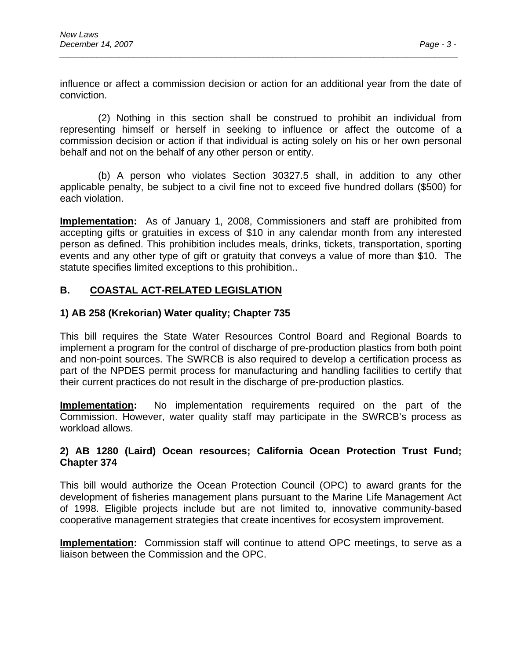influence or affect a commission decision or action for an additional year from the date of conviction.

*\_\_\_\_\_\_\_\_\_\_\_\_\_\_\_\_\_\_\_\_\_\_\_\_\_\_\_\_\_\_\_\_\_\_\_\_\_\_\_\_\_\_\_\_\_\_\_\_\_\_\_\_\_\_\_\_\_\_\_\_\_\_\_\_\_\_\_\_\_\_\_\_\_\_\_\_\_\_\_\_\_\_\_\_\_\_* 

 (2) Nothing in this section shall be construed to prohibit an individual from representing himself or herself in seeking to influence or affect the outcome of a commission decision or action if that individual is acting solely on his or her own personal behalf and not on the behalf of any other person or entity.

 (b) A person who violates Section 30327.5 shall, in addition to any other applicable penalty, be subject to a civil fine not to exceed five hundred dollars (\$500) for each violation.

**Implementation:** As of January 1, 2008, Commissioners and staff are prohibited from accepting gifts or gratuities in excess of \$10 in any calendar month from any interested person as defined. This prohibition includes meals, drinks, tickets, transportation, sporting events and any other type of gift or gratuity that conveys a value of more than \$10. The statute specifies limited exceptions to this prohibition..

# **B. COASTAL ACT-RELATED LEGISLATION**

## **1) AB 258 (Krekorian) Water quality; Chapter 735**

This bill requires the State Water Resources Control Board and Regional Boards to implement a program for the control of discharge of pre-production plastics from both point and non-point sources. The SWRCB is also required to develop a certification process as part of the NPDES permit process for manufacturing and handling facilities to certify that their current practices do not result in the discharge of pre-production plastics.

**Implementation:** No implementation requirements required on the part of the Commission. However, water quality staff may participate in the SWRCB's process as workload allows.

## **2) AB 1280 (Laird) Ocean resources; California Ocean Protection Trust Fund; Chapter 374**

This bill would authorize the Ocean Protection Council (OPC) to award grants for the development of fisheries management plans pursuant to the Marine Life Management Act of 1998. Eligible projects include but are not limited to, innovative community-based cooperative management strategies that create incentives for ecosystem improvement.

**Implementation:** Commission staff will continue to attend OPC meetings, to serve as a liaison between the Commission and the OPC.